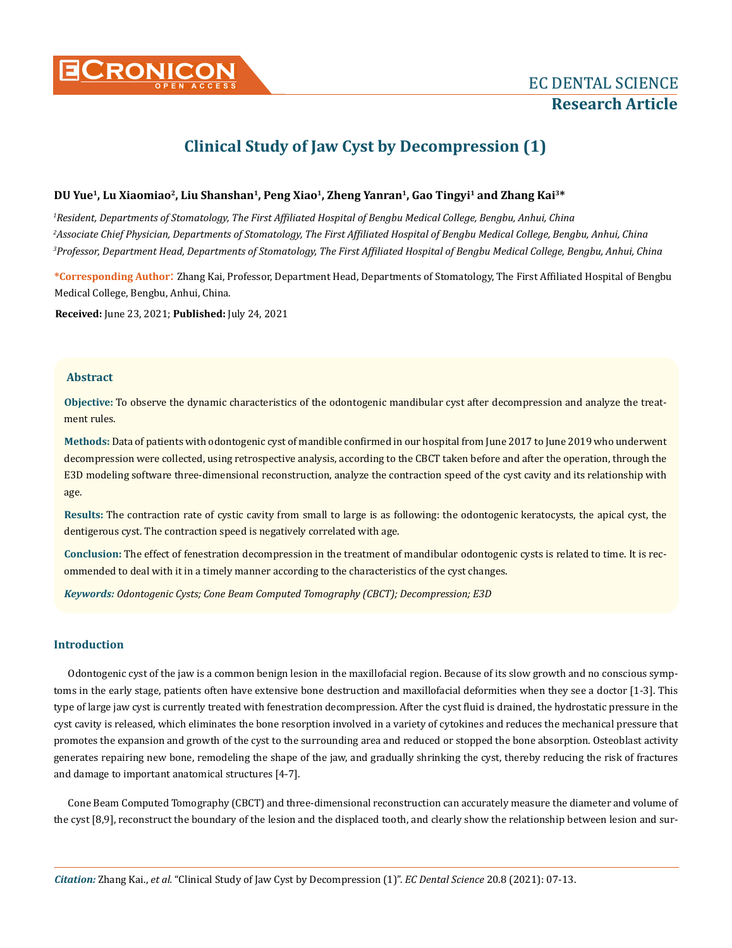

# **Clinical Study of Jaw Cyst by Decompression (1)**

# **DU Yue1, Lu Xiaomiao2, Liu Shanshan1, Peng Xiao1, Zheng Yanran1, Gao Tingyi1 and Zhang Kai3\***

*1 Resident, Departments of Stomatology, The First Affiliated Hospital of Bengbu Medical College, Bengbu, Anhui, China 2 Associate Chief Physician, Departments of Stomatology, The First Affiliated Hospital of Bengbu Medical College, Bengbu, Anhui, China 3 Professor, Department Head, Departments of Stomatology, The First Affiliated Hospital of Bengbu Medical College, Bengbu, Anhui, China*

**\*Corresponding Author**: Zhang Kai, Professor, Department Head, Departments of Stomatology, The First Affiliated Hospital of Bengbu Medical College, Bengbu, Anhui, China.

**Received:** June 23, 2021; **Published:** July 24, 2021

## **Abstract**

**Objective:** To observe the dynamic characteristics of the odontogenic mandibular cyst after decompression and analyze the treatment rules.

**Methods:** Data of patients with odontogenic cyst of mandible confirmed in our hospital from June 2017 to June 2019 who underwent decompression were collected, using retrospective analysis, according to the CBCT taken before and after the operation, through the E3D modeling software three-dimensional reconstruction, analyze the contraction speed of the cyst cavity and its relationship with age.

**Results:** The contraction rate of cystic cavity from small to large is as following: the odontogenic keratocysts, the apical cyst, the dentigerous cyst. The contraction speed is negatively correlated with age.

**Conclusion:** The effect of fenestration decompression in the treatment of mandibular odontogenic cysts is related to time. It is recommended to deal with it in a timely manner according to the characteristics of the cyst changes.

*Keywords: Odontogenic Cysts; Cone Beam Computed Tomography (CBCT); Decompression; E3D*

## **Introduction**

Odontogenic cyst of the jaw is a common benign lesion in the maxillofacial region. Because of its slow growth and no conscious symptoms in the early stage, patients often have extensive bone destruction and maxillofacial deformities when they see a doctor [1-3]. This type of large jaw cyst is currently treated with fenestration decompression. After the cyst fluid is drained, the hydrostatic pressure in the cyst cavity is released, which eliminates the bone resorption involved in a variety of cytokines and reduces the mechanical pressure that promotes the expansion and growth of the cyst to the surrounding area and reduced or stopped the bone absorption. Osteoblast activity generates repairing new bone, remodeling the shape of the jaw, and gradually shrinking the cyst, thereby reducing the risk of fractures and damage to important anatomical structures [4-7].

Cone Beam Computed Tomography (CBCT) and three-dimensional reconstruction can accurately measure the diameter and volume of the cyst [8,9], reconstruct the boundary of the lesion and the displaced tooth, and clearly show the relationship between lesion and sur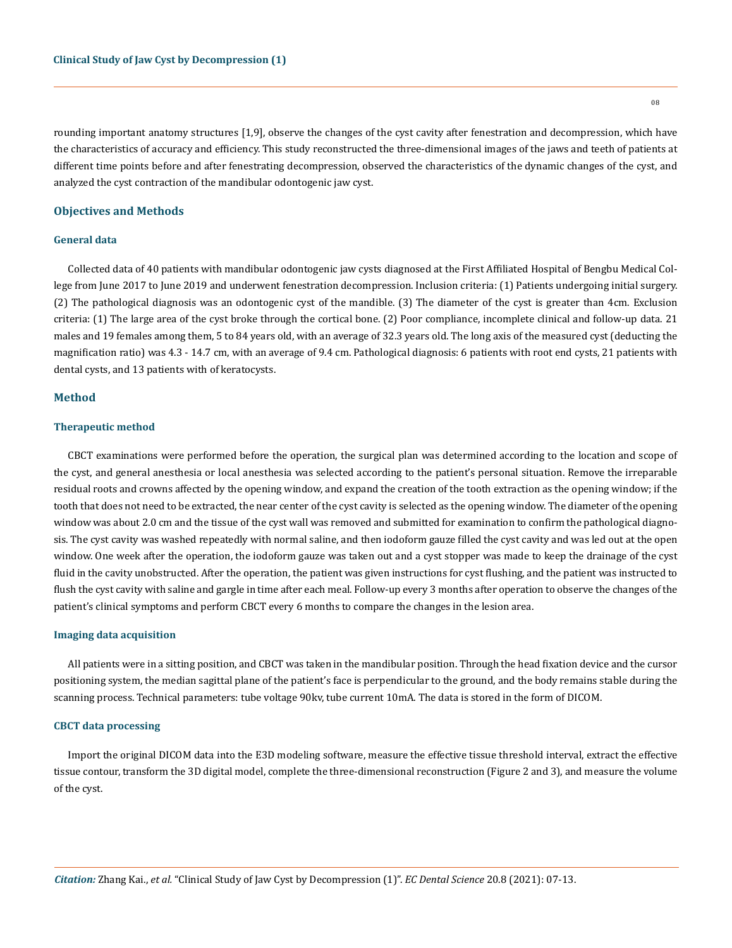rounding important anatomy structures [1,9], observe the changes of the cyst cavity after fenestration and decompression, which have the characteristics of accuracy and efficiency. This study reconstructed the three-dimensional images of the jaws and teeth of patients at different time points before and after fenestrating decompression, observed the characteristics of the dynamic changes of the cyst, and analyzed the cyst contraction of the mandibular odontogenic jaw cyst.

## **Objectives and Methods**

#### **General data**

Collected data of 40 patients with mandibular odontogenic jaw cysts diagnosed at the First Affiliated Hospital of Bengbu Medical College from June 2017 to June 2019 and underwent fenestration decompression. Inclusion criteria: (1) Patients undergoing initial surgery. (2) The pathological diagnosis was an odontogenic cyst of the mandible. (3) The diameter of the cyst is greater than 4cm. Exclusion criteria: (1) The large area of the cyst broke through the cortical bone. (2) Poor compliance, incomplete clinical and follow-up data. 21 males and 19 females among them, 5 to 84 years old, with an average of 32.3 years old. The long axis of the measured cyst (deducting the magnification ratio) was 4.3 - 14.7 cm, with an average of 9.4 cm. Pathological diagnosis: 6 patients with root end cysts, 21 patients with dental cysts, and 13 patients with of keratocysts.

## **Method**

## **Therapeutic method**

CBCT examinations were performed before the operation, the surgical plan was determined according to the location and scope of the cyst, and general anesthesia or local anesthesia was selected according to the patient's personal situation. Remove the irreparable residual roots and crowns affected by the opening window, and expand the creation of the tooth extraction as the opening window; if the tooth that does not need to be extracted, the near center of the cyst cavity is selected as the opening window. The diameter of the opening window was about 2.0 cm and the tissue of the cyst wall was removed and submitted for examination to confirm the pathological diagnosis. The cyst cavity was washed repeatedly with normal saline, and then iodoform gauze filled the cyst cavity and was led out at the open window. One week after the operation, the iodoform gauze was taken out and a cyst stopper was made to keep the drainage of the cyst fluid in the cavity unobstructed. After the operation, the patient was given instructions for cyst flushing, and the patient was instructed to flush the cyst cavity with saline and gargle in time after each meal. Follow-up every 3 months after operation to observe the changes of the patient's clinical symptoms and perform CBCT every 6 months to compare the changes in the lesion area.

#### **Imaging data acquisition**

All patients were in a sitting position, and CBCT was taken in the mandibular position. Through the head fixation device and the cursor positioning system, the median sagittal plane of the patient's face is perpendicular to the ground, and the body remains stable during the scanning process. Technical parameters: tube voltage 90kv, tube current 10mA. The data is stored in the form of DICOM.

#### **CBCT data processing**

Import the original DICOM data into the E3D modeling software, measure the effective tissue threshold interval, extract the effective tissue contour, transform the 3D digital model, complete the three-dimensional reconstruction (Figure 2 and 3), and measure the volume of the cyst.

08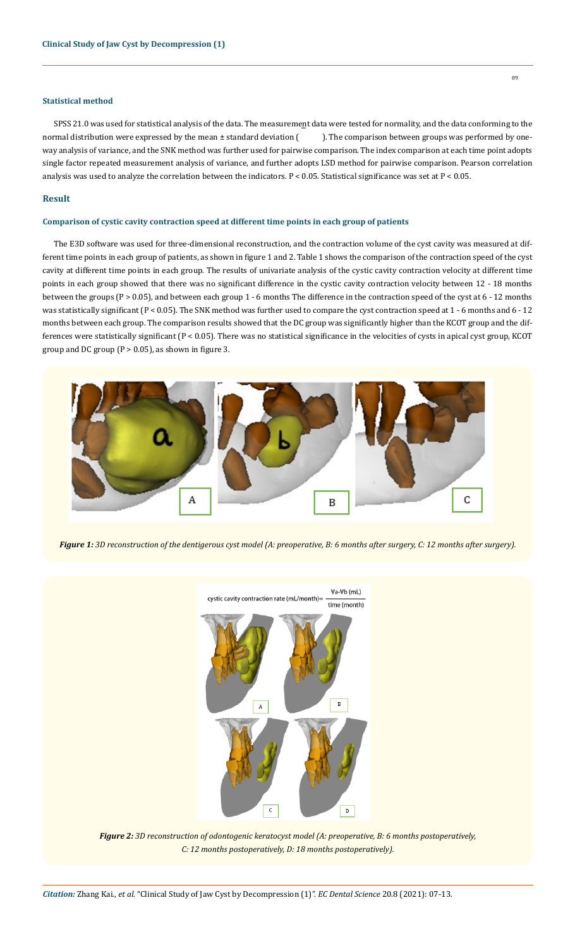# **Statistical method**

SPSS 21.0 was used for statistical analysis of the data. The measurement data were tested for normality, and the data conforming to the normal distribution were expressed by the mean ± standard deviation (). The comparison between groups was performed by oneway analysis of variance, and the SNK method was further used for pairwise comparison. The index comparison at each time point adopts single factor repeated measurement analysis of variance, and further adopts LSD method for pairwise comparison. Pearson correlation analysis was used to analyze the correlation between the indicators. P < 0.05. Statistical significance was set at P < 0.05.

## **Result**

# **Comparison of cystic cavity contraction speed at different time points in each group of patients**

The E3D software was used for three-dimensional reconstruction, and the contraction volume of the cyst cavity was measured at different time points in each group of patients, as shown in figure 1 and 2. Table 1 shows the comparison of the contraction speed of the cyst cavity at different time points in each group. The results of univariate analysis of the cystic cavity contraction velocity at different time points in each group showed that there was no significant difference in the cystic cavity contraction velocity between 12 - 18 months between the groups (P > 0.05), and between each group 1 - 6 months The difference in the contraction speed of the cyst at 6 - 12 months was statistically significant (P < 0.05). The SNK method was further used to compare the cyst contraction speed at 1 - 6 months and 6 - 12 months between each group. The comparison results showed that the DC group was significantly higher than the KCOT group and the differences were statistically significant (P < 0.05). There was no statistical significance in the velocities of cysts in apical cyst group, KCOT group and DC group ( $P > 0.05$ ), as shown in figure 3.



*Figure 1: 3D reconstruction of the dentigerous cyst model (A: preoperative, B: 6 months after surgery, C: 12 months after surgery).*



*Figure 2: 3D reconstruction of odontogenic keratocyst model (A: preoperative, B: 6 months postoperatively, C: 12 months postoperatively, D: 18 months postoperatively).*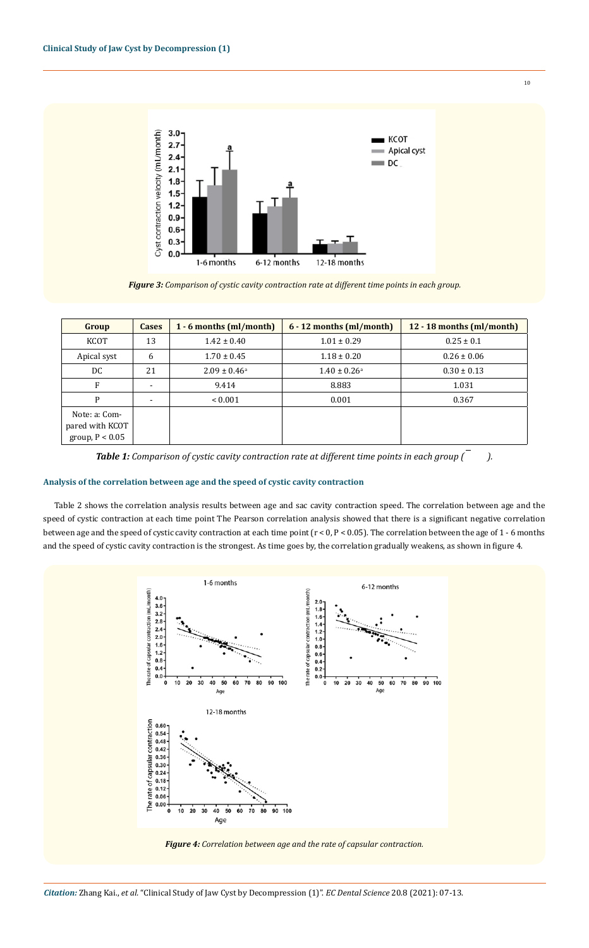

*Figure 3: Comparison of cystic cavity contraction rate at different time points in each group.*

| Group                                                 | <b>Cases</b>   | $1 - 6$ months (ml/month) | $6 - 12$ months (ml/month) | 12 - 18 months (ml/month) |
|-------------------------------------------------------|----------------|---------------------------|----------------------------|---------------------------|
| KCOT                                                  | 13             | $1.42 \pm 0.40$           | $1.01 \pm 0.29$            | $0.25 \pm 0.1$            |
| Apical syst                                           | 6              | $1.70 \pm 0.45$           | $1.18 \pm 0.20$            | $0.26 \pm 0.06$           |
| DC.                                                   | 21             | $2.09 \pm 0.46^{\circ}$   | $1.40 \pm 0.26^{\circ}$    | $0.30 \pm 0.13$           |
| F                                                     | $\blacksquare$ | 9.414                     | 8.883                      | 1.031                     |
| P                                                     |                | ${}_{0.001}$              | 0.001                      | 0.367                     |
| Note: a: Com-<br>pared with KCOT<br>group, $P < 0.05$ |                |                           |                            |                           |

*Table 1: Comparison of cystic cavity contraction rate at different time points in each group ( ).*

# **Analysis of the correlation between age and the speed of cystic cavity contraction**

Table 2 shows the correlation analysis results between age and sac cavity contraction speed. The correlation between age and the speed of cystic contraction at each time point The Pearson correlation analysis showed that there is a significant negative correlation between age and the speed of cystic cavity contraction at each time point (r < 0, P < 0.05). The correlation between the age of 1 - 6 months and the speed of cystic cavity contraction is the strongest. As time goes by, the correlation gradually weakens, as shown in figure 4.



*Figure 4: Correlation between age and the rate of capsular contraction.*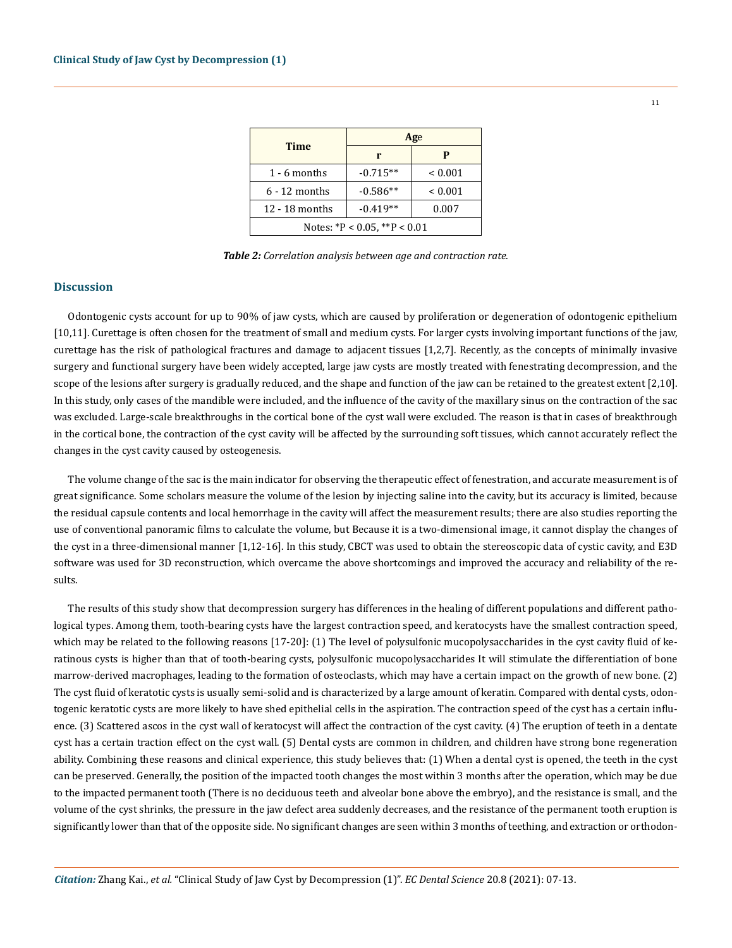| Time                         | Age        |              |  |  |  |
|------------------------------|------------|--------------|--|--|--|
|                              | r          | P            |  |  |  |
| $1 - 6$ months               | $-0.715**$ | ${}_{0.001}$ |  |  |  |
| $6 - 12$ months              | $-0.586**$ | ${}_{0.001}$ |  |  |  |
| 12 - 18 months               | $-0.419**$ | 0.007        |  |  |  |
| Notes: *P < 0.05, **P < 0.01 |            |              |  |  |  |

*Table 2: Correlation analysis between age and contraction rate.*

## **Discussion**

Odontogenic cysts account for up to 90% of jaw cysts, which are caused by proliferation or degeneration of odontogenic epithelium [10,11]. Curettage is often chosen for the treatment of small and medium cysts. For larger cysts involving important functions of the jaw, curettage has the risk of pathological fractures and damage to adjacent tissues [1,2,7]. Recently, as the concepts of minimally invasive surgery and functional surgery have been widely accepted, large jaw cysts are mostly treated with fenestrating decompression, and the scope of the lesions after surgery is gradually reduced, and the shape and function of the jaw can be retained to the greatest extent [2,10]. In this study, only cases of the mandible were included, and the influence of the cavity of the maxillary sinus on the contraction of the sac was excluded. Large-scale breakthroughs in the cortical bone of the cyst wall were excluded. The reason is that in cases of breakthrough in the cortical bone, the contraction of the cyst cavity will be affected by the surrounding soft tissues, which cannot accurately reflect the changes in the cyst cavity caused by osteogenesis.

The volume change of the sac is the main indicator for observing the therapeutic effect of fenestration, and accurate measurement is of great significance. Some scholars measure the volume of the lesion by injecting saline into the cavity, but its accuracy is limited, because the residual capsule contents and local hemorrhage in the cavity will affect the measurement results; there are also studies reporting the use of conventional panoramic films to calculate the volume, but Because it is a two-dimensional image, it cannot display the changes of the cyst in a three-dimensional manner [1,12-16]. In this study, CBCT was used to obtain the stereoscopic data of cystic cavity, and E3D software was used for 3D reconstruction, which overcame the above shortcomings and improved the accuracy and reliability of the results.

The results of this study show that decompression surgery has differences in the healing of different populations and different pathological types. Among them, tooth-bearing cysts have the largest contraction speed, and keratocysts have the smallest contraction speed, which may be related to the following reasons [17-20]: (1) The level of polysulfonic mucopolysaccharides in the cyst cavity fluid of keratinous cysts is higher than that of tooth-bearing cysts, polysulfonic mucopolysaccharides It will stimulate the differentiation of bone marrow-derived macrophages, leading to the formation of osteoclasts, which may have a certain impact on the growth of new bone. (2) The cyst fluid of keratotic cysts is usually semi-solid and is characterized by a large amount of keratin. Compared with dental cysts, odontogenic keratotic cysts are more likely to have shed epithelial cells in the aspiration. The contraction speed of the cyst has a certain influence. (3) Scattered ascos in the cyst wall of keratocyst will affect the contraction of the cyst cavity. (4) The eruption of teeth in a dentate cyst has a certain traction effect on the cyst wall. (5) Dental cysts are common in children, and children have strong bone regeneration ability. Combining these reasons and clinical experience, this study believes that: (1) When a dental cyst is opened, the teeth in the cyst can be preserved. Generally, the position of the impacted tooth changes the most within 3 months after the operation, which may be due to the impacted permanent tooth (There is no deciduous teeth and alveolar bone above the embryo), and the resistance is small, and the volume of the cyst shrinks, the pressure in the jaw defect area suddenly decreases, and the resistance of the permanent tooth eruption is significantly lower than that of the opposite side. No significant changes are seen within 3 months of teething, and extraction or orthodon-

11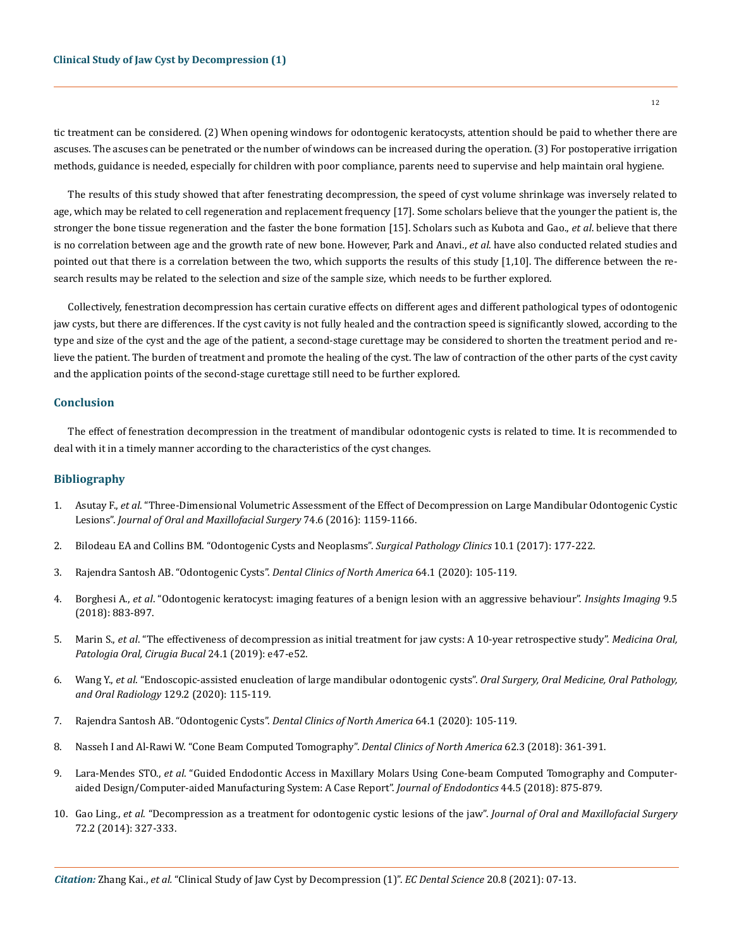tic treatment can be considered. (2) When opening windows for odontogenic keratocysts, attention should be paid to whether there are ascuses. The ascuses can be penetrated or the number of windows can be increased during the operation. (3) For postoperative irrigation methods, guidance is needed, especially for children with poor compliance, parents need to supervise and help maintain oral hygiene.

The results of this study showed that after fenestrating decompression, the speed of cyst volume shrinkage was inversely related to age, which may be related to cell regeneration and replacement frequency [17]. Some scholars believe that the younger the patient is, the stronger the bone tissue regeneration and the faster the bone formation [15]. Scholars such as Kubota and Gao., *et al*. believe that there is no correlation between age and the growth rate of new bone. However, Park and Anavi., *et al*. have also conducted related studies and pointed out that there is a correlation between the two, which supports the results of this study [1,10]. The difference between the research results may be related to the selection and size of the sample size, which needs to be further explored.

Collectively, fenestration decompression has certain curative effects on different ages and different pathological types of odontogenic jaw cysts, but there are differences. If the cyst cavity is not fully healed and the contraction speed is significantly slowed, according to the type and size of the cyst and the age of the patient, a second-stage curettage may be considered to shorten the treatment period and relieve the patient. The burden of treatment and promote the healing of the cyst. The law of contraction of the other parts of the cyst cavity and the application points of the second-stage curettage still need to be further explored.

# **Conclusion**

The effect of fenestration decompression in the treatment of mandibular odontogenic cysts is related to time. It is recommended to deal with it in a timely manner according to the characteristics of the cyst changes.

# **Bibliography**

- 1. Asutay F., *et al*[. "Three-Dimensional Volumetric Assessment of the Effect of Decompression on Large Mandibular Odontogenic Cystic](https://pubmed.ncbi.nlm.nih.gov/26828617/)  Lesions". *[Journal of Oral and Maxillofacial Surgery](https://pubmed.ncbi.nlm.nih.gov/26828617/)* 74.6 (2016): 1159-1166.
- 2. [Bilodeau EA and Collins BM. "Odontogenic Cysts and Neoplasms".](https://pubmed.ncbi.nlm.nih.gov/28153133/) *Surgical Pathology Clinics* 10.1 (2017): 177-222.
- 3. [Rajendra Santosh AB. "Odontogenic Cysts".](https://pubmed.ncbi.nlm.nih.gov/31735221/) *Dental Clinics of North America* 64.1 (2020): 105-119.
- 4. Borghesi A., *et al*[. "Odontogenic keratocyst: imaging features of a benign lesion with an aggressive behaviour".](https://www.ncbi.nlm.nih.gov/pmc/articles/PMC6206371/) *Insights Imaging* 9.5 [\(2018\): 883-897.](https://www.ncbi.nlm.nih.gov/pmc/articles/PMC6206371/)
- 5. Marin S., *et al*[. "The effectiveness of decompression as initial treatment for jaw cysts: A 10-year retrospective study".](https://www.ncbi.nlm.nih.gov/pmc/articles/PMC6344015/) *Medicina Oral, [Patologia Oral, Cirugia Bucal](https://www.ncbi.nlm.nih.gov/pmc/articles/PMC6344015/)* 24.1 (2019): e47-e52.
- 6. Wang Y., *et al*[. "Endoscopic-assisted enucleation of large mandibular odontogenic cysts".](https://pubmed.ncbi.nlm.nih.gov/31786170/) *Oral Surgery, Oral Medicine, Oral Pathology, and Oral Radiology* [129.2 \(2020\): 115-119.](https://pubmed.ncbi.nlm.nih.gov/31786170/)
- 7. [Rajendra Santosh AB. "Odontogenic Cysts".](https://pubmed.ncbi.nlm.nih.gov/31735221/) *Dental Clinics of North America* 64.1 (2020): 105-119.
- 8. [Nasseh I and Al-Rawi W. "Cone Beam Computed Tomography".](https://en.wikipedia.org/wiki/Cone_beam_computed_tomography) *Dental Clinics of North America* 62.3 (2018): 361-391.
- 9. Lara-Mendes STO., *et al*[. "Guided Endodontic Access in Maxillary Molars Using Cone-beam Computed Tomography and Computer](https://pubmed.ncbi.nlm.nih.gov/29571910/)[aided Design/Computer-aided Manufacturing System: A Case Report".](https://pubmed.ncbi.nlm.nih.gov/29571910/) *Journal of Endodontics* 44.5 (2018): 875-879.
- 10. Gao Ling., *et al*[. "Decompression as a treatment for odontogenic cystic lesions of the jaw".](https://pubmed.ncbi.nlm.nih.gov/25631867/) *Journal of Oral and Maxillofacial Surgery* [72.2 \(2014\): 327-333.](https://pubmed.ncbi.nlm.nih.gov/25631867/)

12